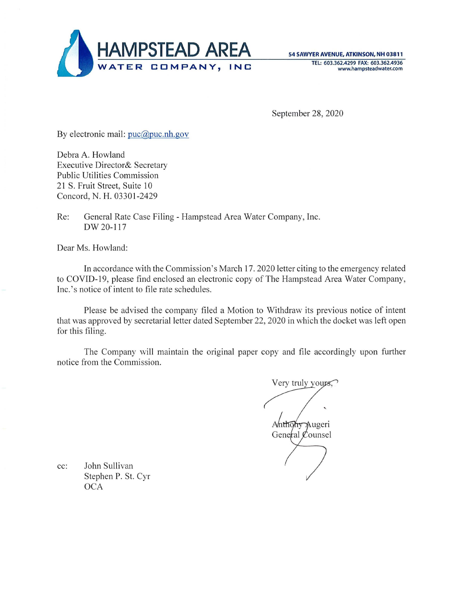

54 SAWYER AVENUE, ATKINSON, NH 03811 TEL: 603.362.4299 FAX: 603.362.4936 www.hampsteadwater.com

September 28, 2020

By electronic mail: puc@puc.nh.gov

Debra A. Howland Executive Director& Secretary Public Utilities Commission 21 S. Fruit Street, Suite 10 Concord, N. H. 03301-2429

Re: General Rate Case Filing - Hampstead Area Water Company, Inc. DW20-117

Dear Ms. Howland:

In accordance with the Commission's March 17. 2020 letter citing to the emergency related to COVID-19, please find enclosed an electronic copy of The Hampstead Area Water Company, Inc. 's notice of intent to file rate schedules.

Please be advised the company filed a Motion to Withdraw its previous notice of intent that was approved by secretarial letter dated September 22, 2020 in which the docket was left open for this filing.

The Company will maintain the original paper copy and file accordingly upon further notice from the Commission.

Very truly yours. Anthony Augeri General Counsel

cc: John Sullivan Stephen P. St. Cyr **OCA**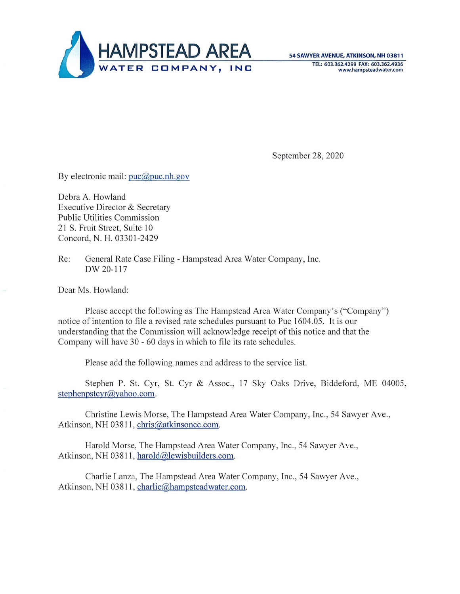

September 28, 2020

By electronic mail: puc@puc.nh.gov

Debra A. Howland Executive Director & Secretary Public Utilities Commission 21 S. Fruit Street, Suite 10 Concord, N. H. 03301-2429

Re: General Rate Case Filing - Hampstead Area Water Company, Inc. DW 20-117

Dear Ms. Howland:

Please accept the following as The Hampstead Area Water Company's ("Company") notice of intention to file a revised rate schedules pursuant to Puc 1604.05. It is our understanding that the Commission will acknowledge receipt of this notice and that the Company will have 30 - 60 days in which to file its rate schedules.

Please add the following names and address to the service list.

Stephen P. St. Cyr, St. Cyr & Assoc., 17 Sky Oaks Drive, Biddeford, ME 04005, stephenpstcyr@yahoo.com.

Christine Lewis Morse, The Hampstead Area Water Company, Inc., 54 Sawyer Ave., Atkinson, NH 03811, chris@atkinsoncc.com.

Harold Morse, The Hampstead Area Water Company, Inc., 54 Sawyer Ave., Atkinson, NH 03811, harold@lewisbuilders.com.

Charlie Lanza, The Hampstead Area Water Company, Inc., 54 Sawyer Ave., Atkinson, NH 03811, charlie@hampsteadwater.com.